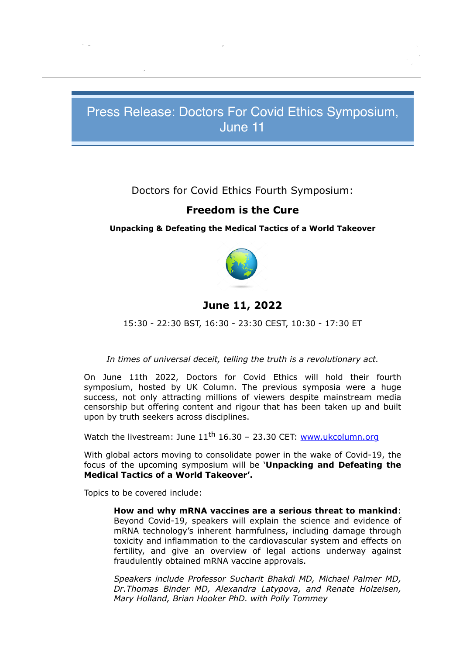# Press Release: Doctors For Covid Ethics Symposium, June 11

## Doctors for Covid Ethics Fourth Symposium:

## **Freedom is the Cure**

#### **Unpacking & Defeating the Medical Tactics of a World Takeover**



## **June 11, 2022**

15:30 - 22:30 BST, 16:30 - 23:30 CEST, 10:30 - 17:30 ET

#### *In times of universal deceit, telling the truth is a revolutionary act.*

On June 11th 2022, Doctors for Covid Ethics will hold their fourth symposium, hosted by UK Column. The previous symposia were a huge success, not only attracting millions of viewers despite mainstream media censorship but offering content and rigour that has been taken up and built upon by truth seekers across disciplines.

Watch the livestream: June  $11<sup>th</sup> 16.30 - 23.30$  CET: www.ukcolumn.org

With global actors moving to consolidate power in the wake of Covid-19, the focus of the upcoming symposium will be '**Unpacking and Defeating the Medical Tactics of a World Takeover'.**

Topics to be covered include:

**From: Doctors for Covid Ethics** info@doctors4covidethics.org

**To:** lissa@lissajohnson.com.au

**How and why mRNA vaccines are a serious threat to mankind**: Beyond Covid-19, speakers will explain the science and evidence of mRNA technology's inherent harmfulness, including damage through toxicity and inflammation to the cardiovascular system and effects on fertility, and give an overview of legal actions underway against fraudulently obtained mRNA vaccine approvals.

*Speakers include Professor Sucharit Bhakdi MD, Michael Palmer MD, Dr.Thomas Binder MD, Alexandra Latypova, and Renate Holzeisen, Mary Holland, Brian Hooker PhD. with Polly Tommey*